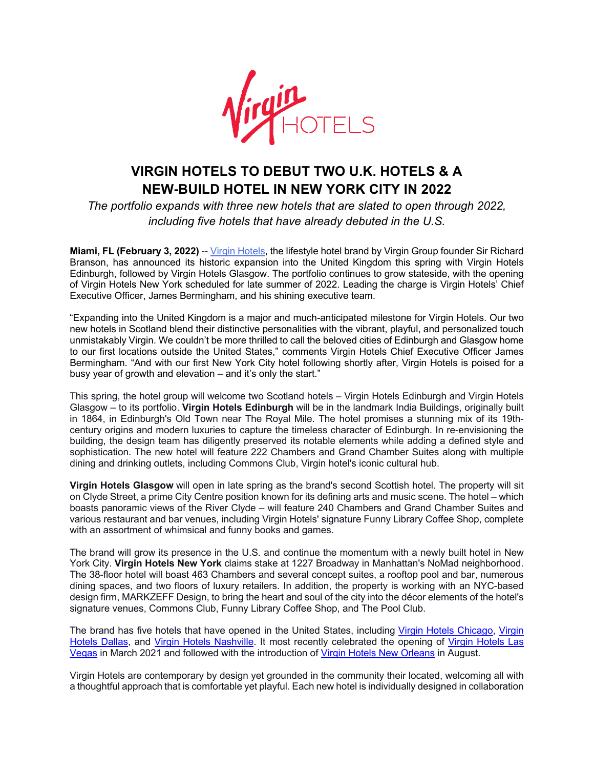

## **VIRGIN HOTELS TO DEBUT TWO U.K. HOTELS & A NEW-BUILD HOTEL IN NEW YORK CITY IN 2022**

*The portfolio expands with three new hotels that are slated to open through 2022, including five hotels that have already debuted in the U.S.*

**Miami, FL (February 3, 2022)** -- Virgin Hotels, the lifestyle hotel brand by Virgin Group founder Sir Richard Branson, has announced its historic expansion into the United Kingdom this spring with Virgin Hotels Edinburgh, followed by Virgin Hotels Glasgow. The portfolio continues to grow stateside, with the opening of Virgin Hotels New York scheduled for late summer of 2022. Leading the charge is Virgin Hotels' Chief Executive Officer, James Bermingham, and his shining executive team.

"Expanding into the United Kingdom is a major and much-anticipated milestone for Virgin Hotels. Our two new hotels in Scotland blend their distinctive personalities with the vibrant, playful, and personalized touch unmistakably Virgin. We couldn't be more thrilled to call the beloved cities of Edinburgh and Glasgow home to our first locations outside the United States," comments Virgin Hotels Chief Executive Officer James Bermingham. "And with our first New York City hotel following shortly after, Virgin Hotels is poised for a busy year of growth and elevation – and it's only the start."

This spring, the hotel group will welcome two Scotland hotels – Virgin Hotels Edinburgh and Virgin Hotels Glasgow – to its portfolio. **Virgin Hotels Edinburgh** will be in the landmark India Buildings, originally built in 1864, in Edinburgh's Old Town near The Royal Mile. The hotel promises a stunning mix of its 19thcentury origins and modern luxuries to capture the timeless character of Edinburgh. In re-envisioning the building, the design team has diligently preserved its notable elements while adding a defined style and sophistication. The new hotel will feature 222 Chambers and Grand Chamber Suites along with multiple dining and drinking outlets, including Commons Club, Virgin hotel's iconic cultural hub.

**Virgin Hotels Glasgow** will open in late spring as the brand's second Scottish hotel. The property will sit on Clyde Street, a prime City Centre position known for its defining arts and music scene. The hotel – which boasts panoramic views of the River Clyde – will feature 240 Chambers and Grand Chamber Suites and various restaurant and bar venues, including Virgin Hotels' signature Funny Library Coffee Shop, complete with an assortment of whimsical and funny books and games.

The brand will grow its presence in the U.S. and continue the momentum with a newly built hotel in New York City. **Virgin Hotels New York** claims stake at 1227 Broadway in Manhattan's NoMad neighborhood. The 38-floor hotel will boast 463 Chambers and several concept suites, a rooftop pool and bar, numerous dining spaces, and two floors of luxury retailers. In addition, the property is working with an NYC-based design firm, MARKZEFF Design, to bring the heart and soul of the city into the décor elements of the hotel's signature venues, Commons Club, Funny Library Coffee Shop, and The Pool Club.

The brand has five hotels that have opened in the United States, including Virgin Hotels Chicago, Virgin Hotels Dallas, and Virgin Hotels Nashville. It most recently celebrated the opening of Virgin Hotels Las Vegas in March 2021 and followed with the introduction of Virgin Hotels New Orleans in August.

Virgin Hotels are contemporary by design yet grounded in the community their located, welcoming all with a thoughtful approach that is comfortable yet playful. Each new hotel is individually designed in collaboration